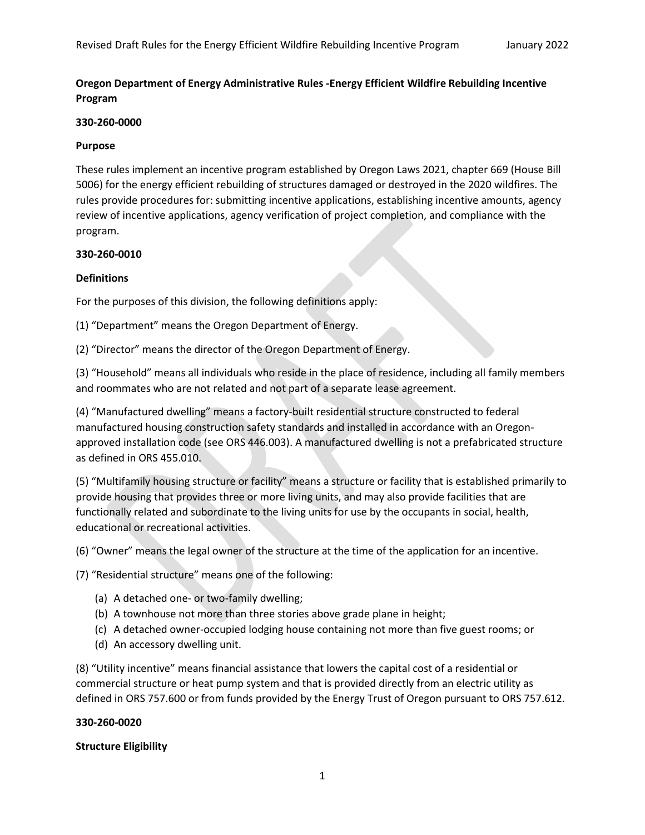# **Oregon Department of Energy Administrative Rules -Energy Efficient Wildfire Rebuilding Incentive Program**

## **330-260-0000**

## **Purpose**

These rules implement an incentive program established by Oregon Laws 2021, chapter 669 (House Bill 5006) for the energy efficient rebuilding of structures damaged or destroyed in the 2020 wildfires. The rules provide procedures for: submitting incentive applications, establishing incentive amounts, agency review of incentive applications, agency verification of project completion, and compliance with the program.

## **330-260-0010**

# **Definitions**

For the purposes of this division, the following definitions apply:

(1) "Department" means the Oregon Department of Energy.

(2) "Director" means the director of the Oregon Department of Energy.

(3) "Household" means all individuals who reside in the place of residence, including all family members and roommates who are not related and not part of a separate lease agreement.

(4) "Manufactured dwelling" means a factory-built residential structure constructed to federal manufactured housing construction safety standards and installed in accordance with an Oregonapproved installation code (see ORS 446.003). A manufactured dwelling is not a prefabricated structure as defined in ORS 455.010.

(5) "Multifamily housing structure or facility" means a structure or facility that is established primarily to provide housing that provides three or more living units, and may also provide facilities that are functionally related and subordinate to the living units for use by the occupants in social, health, educational or recreational activities.

(6) "Owner" means the legal owner of the structure at the time of the application for an incentive.

(7) "Residential structure" means one of the following:

- (a) A detached one- or two-family dwelling;
- (b) A townhouse not more than three stories above grade plane in height;
- (c) A detached owner-occupied lodging house containing not more than five guest rooms; or
- (d) An accessory dwelling unit.

(8) "Utility incentive" means financial assistance that lowers the capital cost of a residential or commercial structure or heat pump system and that is provided directly from an electric utility as defined in ORS 757.600 or from funds provided by the Energy Trust of Oregon pursuant to ORS 757.612.

## **330-260-0020**

## **Structure Eligibility**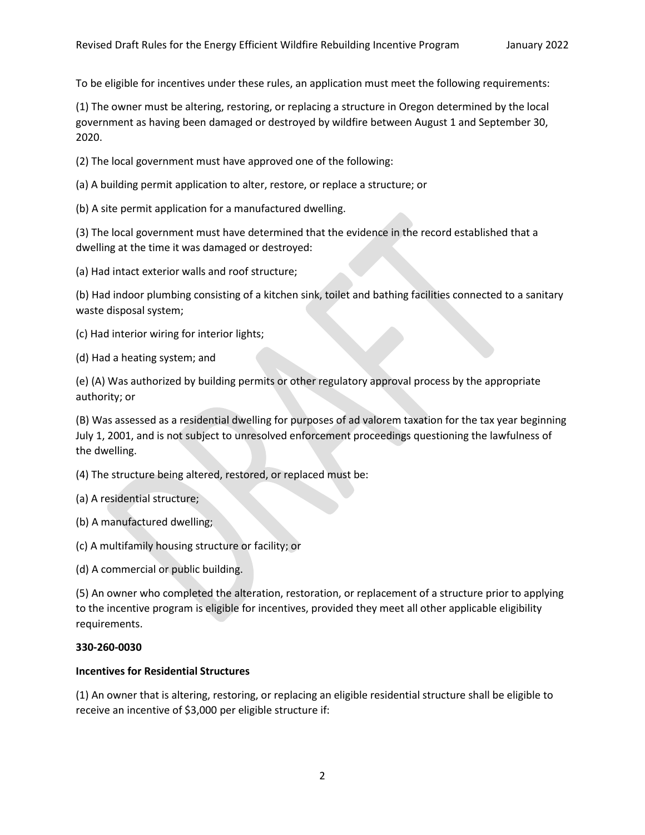To be eligible for incentives under these rules, an application must meet the following requirements:

(1) The owner must be altering, restoring, or replacing a structure in Oregon determined by the local government as having been damaged or destroyed by wildfire between August 1 and September 30, 2020.

(2) The local government must have approved one of the following:

(a) A building permit application to alter, restore, or replace a structure; or

(b) A site permit application for a manufactured dwelling.

(3) The local government must have determined that the evidence in the record established that a dwelling at the time it was damaged or destroyed:

(a) Had intact exterior walls and roof structure;

(b) Had indoor plumbing consisting of a kitchen sink, toilet and bathing facilities connected to a sanitary waste disposal system;

(c) Had interior wiring for interior lights;

(d) Had a heating system; and

(e) (A) Was authorized by building permits or other regulatory approval process by the appropriate authority; or

(B) Was assessed as a residential dwelling for purposes of ad valorem taxation for the tax year beginning July 1, 2001, and is not subject to unresolved enforcement proceedings questioning the lawfulness of the dwelling.

(4) The structure being altered, restored, or replaced must be:

(a) A residential structure;

- (b) A manufactured dwelling;
- (c) A multifamily housing structure or facility; or

(d) A commercial or public building.

(5) An owner who completed the alteration, restoration, or replacement of a structure prior to applying to the incentive program is eligible for incentives, provided they meet all other applicable eligibility requirements.

#### **330-260-0030**

## **Incentives for Residential Structures**

(1) An owner that is altering, restoring, or replacing an eligible residential structure shall be eligible to receive an incentive of \$3,000 per eligible structure if: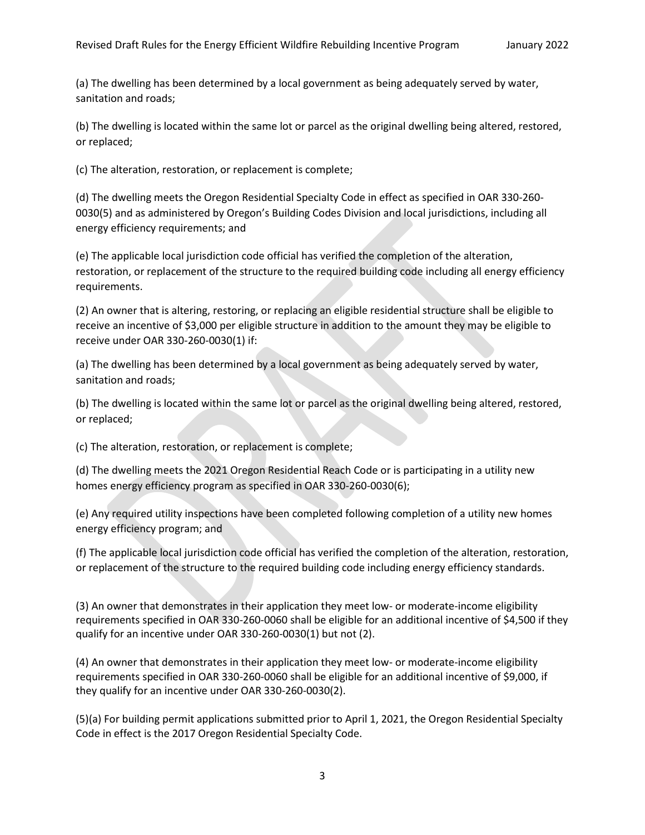(a) The dwelling has been determined by a local government as being adequately served by water, sanitation and roads;

(b) The dwelling is located within the same lot or parcel as the original dwelling being altered, restored, or replaced;

(c) The alteration, restoration, or replacement is complete;

(d) The dwelling meets the Oregon Residential Specialty Code in effect as specified in OAR 330-260- 0030(5) and as administered by Oregon's Building Codes Division and local jurisdictions, including all energy efficiency requirements; and

(e) The applicable local jurisdiction code official has verified the completion of the alteration, restoration, or replacement of the structure to the required building code including all energy efficiency requirements.

(2) An owner that is altering, restoring, or replacing an eligible residential structure shall be eligible to receive an incentive of \$3,000 per eligible structure in addition to the amount they may be eligible to receive under OAR 330-260-0030(1) if:

(a) The dwelling has been determined by a local government as being adequately served by water, sanitation and roads;

(b) The dwelling is located within the same lot or parcel as the original dwelling being altered, restored, or replaced;

(c) The alteration, restoration, or replacement is complete;

(d) The dwelling meets the 2021 Oregon Residential Reach Code or is participating in a utility new homes energy efficiency program as specified in OAR 330-260-0030(6);

(e) Any required utility inspections have been completed following completion of a utility new homes energy efficiency program; and

(f) The applicable local jurisdiction code official has verified the completion of the alteration, restoration, or replacement of the structure to the required building code including energy efficiency standards.

(3) An owner that demonstrates in their application they meet low- or moderate-income eligibility requirements specified in OAR 330-260-0060 shall be eligible for an additional incentive of \$4,500 if they qualify for an incentive under OAR 330-260-0030(1) but not (2).

(4) An owner that demonstrates in their application they meet low- or moderate-income eligibility requirements specified in OAR 330-260-0060 shall be eligible for an additional incentive of \$9,000, if they qualify for an incentive under OAR 330-260-0030(2).

(5)(a) For building permit applications submitted prior to April 1, 2021, the Oregon Residential Specialty Code in effect is the 2017 Oregon Residential Specialty Code.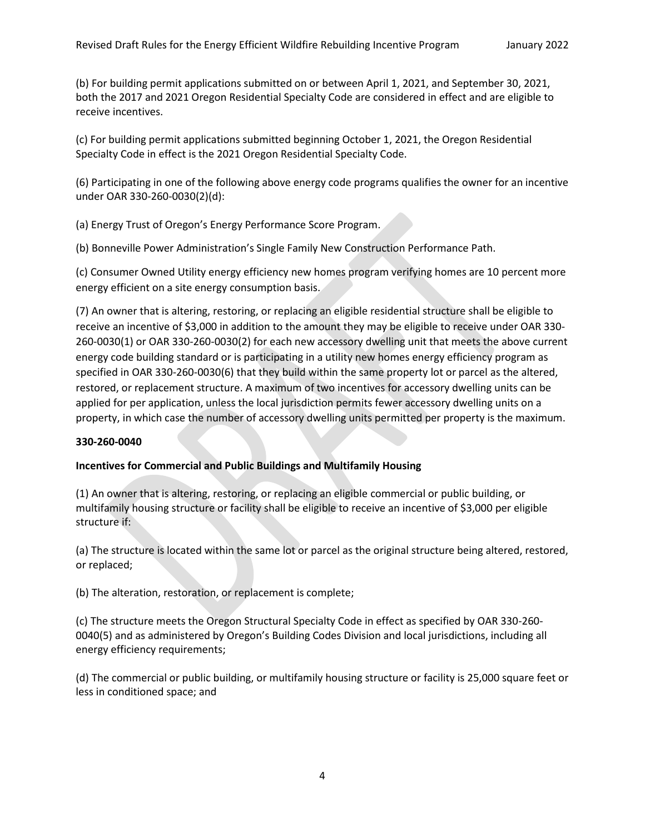(b) For building permit applications submitted on or between April 1, 2021, and September 30, 2021, both the 2017 and 2021 Oregon Residential Specialty Code are considered in effect and are eligible to receive incentives.

(c) For building permit applications submitted beginning October 1, 2021, the Oregon Residential Specialty Code in effect is the 2021 Oregon Residential Specialty Code.

(6) Participating in one of the following above energy code programs qualifies the owner for an incentive under OAR 330-260-0030(2)(d):

(a) Energy Trust of Oregon's Energy Performance Score Program.

(b) Bonneville Power Administration's Single Family New Construction Performance Path.

(c) Consumer Owned Utility energy efficiency new homes program verifying homes are 10 percent more energy efficient on a site energy consumption basis.

(7) An owner that is altering, restoring, or replacing an eligible residential structure shall be eligible to receive an incentive of \$3,000 in addition to the amount they may be eligible to receive under OAR 330- 260-0030(1) or OAR 330-260-0030(2) for each new accessory dwelling unit that meets the above current energy code building standard or is participating in a utility new homes energy efficiency program as specified in OAR 330-260-0030(6) that they build within the same property lot or parcel as the altered, restored, or replacement structure. A maximum of two incentives for accessory dwelling units can be applied for per application, unless the local jurisdiction permits fewer accessory dwelling units on a property, in which case the number of accessory dwelling units permitted per property is the maximum.

## **330-260-0040**

## **Incentives for Commercial and Public Buildings and Multifamily Housing**

(1) An owner that is altering, restoring, or replacing an eligible commercial or public building, or multifamily housing structure or facility shall be eligible to receive an incentive of \$3,000 per eligible structure if:

(a) The structure is located within the same lot or parcel as the original structure being altered, restored, or replaced;

(b) The alteration, restoration, or replacement is complete;

(c) The structure meets the Oregon Structural Specialty Code in effect as specified by OAR 330-260- 0040(5) and as administered by Oregon's Building Codes Division and local jurisdictions, including all energy efficiency requirements;

(d) The commercial or public building, or multifamily housing structure or facility is 25,000 square feet or less in conditioned space; and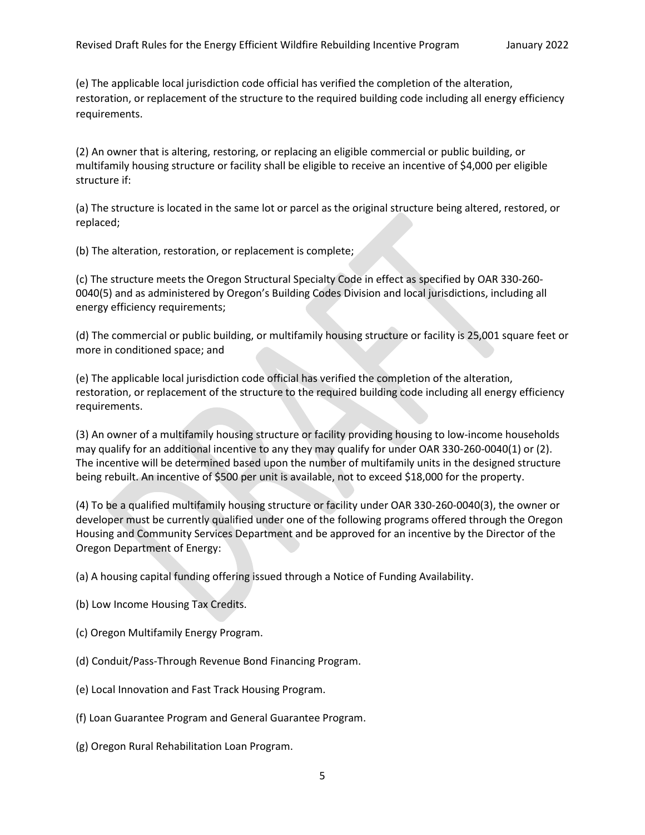(e) The applicable local jurisdiction code official has verified the completion of the alteration, restoration, or replacement of the structure to the required building code including all energy efficiency requirements.

(2) An owner that is altering, restoring, or replacing an eligible commercial or public building, or multifamily housing structure or facility shall be eligible to receive an incentive of \$4,000 per eligible structure if:

(a) The structure is located in the same lot or parcel as the original structure being altered, restored, or replaced;

(b) The alteration, restoration, or replacement is complete;

(c) The structure meets the Oregon Structural Specialty Code in effect as specified by OAR 330-260- 0040(5) and as administered by Oregon's Building Codes Division and local jurisdictions, including all energy efficiency requirements;

(d) The commercial or public building, or multifamily housing structure or facility is 25,001 square feet or more in conditioned space; and

(e) The applicable local jurisdiction code official has verified the completion of the alteration, restoration, or replacement of the structure to the required building code including all energy efficiency requirements.

(3) An owner of a multifamily housing structure or facility providing housing to low-income households may qualify for an additional incentive to any they may qualify for under OAR 330-260-0040(1) or (2). The incentive will be determined based upon the number of multifamily units in the designed structure being rebuilt. An incentive of \$500 per unit is available, not to exceed \$18,000 for the property.

(4) To be a qualified multifamily housing structure or facility under OAR 330-260-0040(3), the owner or developer must be currently qualified under one of the following programs offered through the Oregon Housing and Community Services Department and be approved for an incentive by the Director of the Oregon Department of Energy:

(a) A housing capital funding offering issued through a Notice of Funding Availability.

- (b) Low Income Housing Tax Credits.
- (c) Oregon Multifamily Energy Program.
- (d) Conduit/Pass-Through Revenue Bond Financing Program.
- (e) Local Innovation and Fast Track Housing Program.
- (f) Loan Guarantee Program and General Guarantee Program.
- (g) Oregon Rural Rehabilitation Loan Program.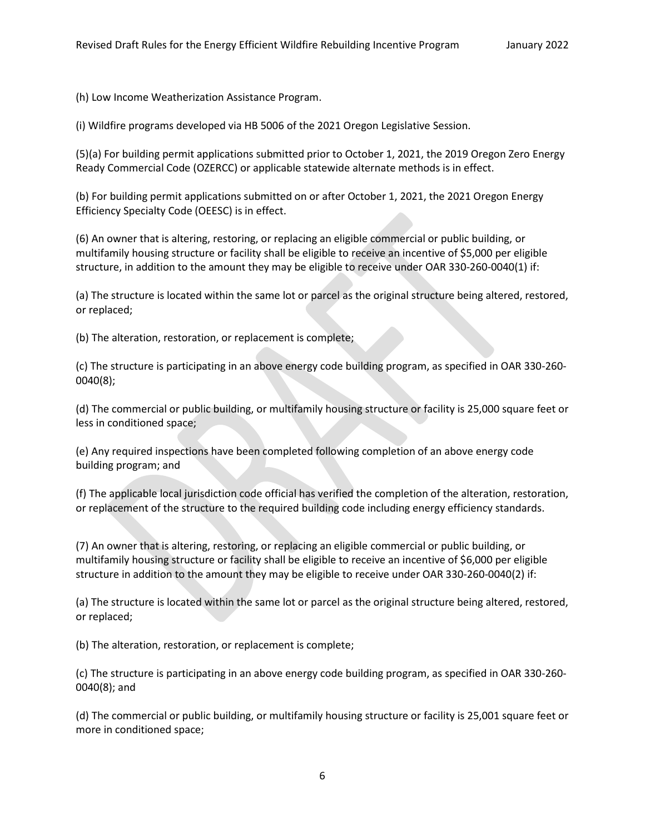(h) Low Income Weatherization Assistance Program.

(i) Wildfire programs developed via HB 5006 of the 2021 Oregon Legislative Session.

(5)(a) For building permit applications submitted prior to October 1, 2021, the 2019 Oregon Zero Energy Ready Commercial Code (OZERCC) or applicable statewide alternate methods is in effect.

(b) For building permit applications submitted on or after October 1, 2021, the 2021 Oregon Energy Efficiency Specialty Code (OEESC) is in effect.

(6) An owner that is altering, restoring, or replacing an eligible commercial or public building, or multifamily housing structure or facility shall be eligible to receive an incentive of \$5,000 per eligible structure, in addition to the amount they may be eligible to receive under OAR 330-260-0040(1) if:

(a) The structure is located within the same lot or parcel as the original structure being altered, restored, or replaced;

(b) The alteration, restoration, or replacement is complete;

(c) The structure is participating in an above energy code building program, as specified in OAR 330-260- 0040(8);

(d) The commercial or public building, or multifamily housing structure or facility is 25,000 square feet or less in conditioned space;

(e) Any required inspections have been completed following completion of an above energy code building program; and

(f) The applicable local jurisdiction code official has verified the completion of the alteration, restoration, or replacement of the structure to the required building code including energy efficiency standards.

(7) An owner that is altering, restoring, or replacing an eligible commercial or public building, or multifamily housing structure or facility shall be eligible to receive an incentive of \$6,000 per eligible structure in addition to the amount they may be eligible to receive under OAR 330-260-0040(2) if:

(a) The structure is located within the same lot or parcel as the original structure being altered, restored, or replaced;

(b) The alteration, restoration, or replacement is complete;

(c) The structure is participating in an above energy code building program, as specified in OAR 330-260- 0040(8); and

(d) The commercial or public building, or multifamily housing structure or facility is 25,001 square feet or more in conditioned space;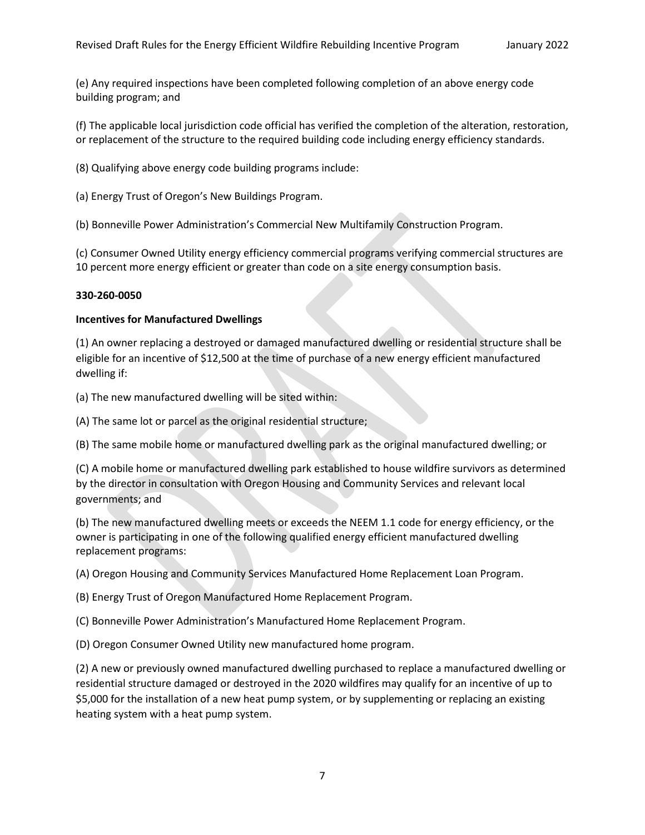(e) Any required inspections have been completed following completion of an above energy code building program; and

(f) The applicable local jurisdiction code official has verified the completion of the alteration, restoration, or replacement of the structure to the required building code including energy efficiency standards.

(8) Qualifying above energy code building programs include:

(a) Energy Trust of Oregon's New Buildings Program.

(b) Bonneville Power Administration's Commercial New Multifamily Construction Program.

(c) Consumer Owned Utility energy efficiency commercial programs verifying commercial structures are 10 percent more energy efficient or greater than code on a site energy consumption basis.

## **330-260-0050**

#### **Incentives for Manufactured Dwellings**

(1) An owner replacing a destroyed or damaged manufactured dwelling or residential structure shall be eligible for an incentive of \$12,500 at the time of purchase of a new energy efficient manufactured dwelling if:

(a) The new manufactured dwelling will be sited within:

(A) The same lot or parcel as the original residential structure;

(B) The same mobile home or manufactured dwelling park as the original manufactured dwelling; or

(C) A mobile home or manufactured dwelling park established to house wildfire survivors as determined by the director in consultation with Oregon Housing and Community Services and relevant local governments; and

(b) The new manufactured dwelling meets or exceeds the NEEM 1.1 code for energy efficiency, or the owner is participating in one of the following qualified energy efficient manufactured dwelling replacement programs:

(A) Oregon Housing and Community Services Manufactured Home Replacement Loan Program.

(B) Energy Trust of Oregon Manufactured Home Replacement Program.

(C) Bonneville Power Administration's Manufactured Home Replacement Program.

(D) Oregon Consumer Owned Utility new manufactured home program.

(2) A new or previously owned manufactured dwelling purchased to replace a manufactured dwelling or residential structure damaged or destroyed in the 2020 wildfires may qualify for an incentive of up to \$5,000 for the installation of a new heat pump system, or by supplementing or replacing an existing heating system with a heat pump system.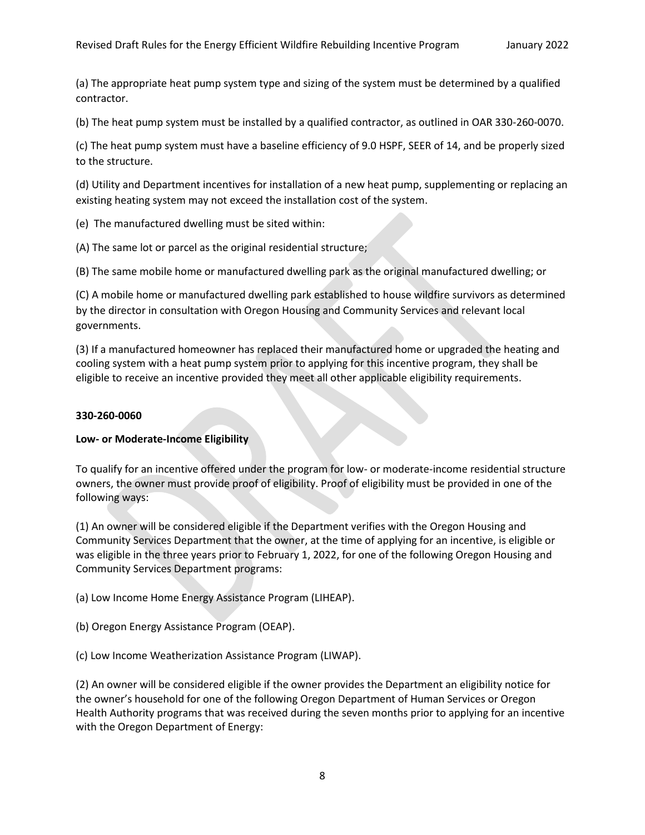(a) The appropriate heat pump system type and sizing of the system must be determined by a qualified contractor.

(b) The heat pump system must be installed by a qualified contractor, as outlined in OAR 330-260-0070.

(c) The heat pump system must have a baseline efficiency of 9.0 HSPF, SEER of 14, and be properly sized to the structure.

(d) Utility and Department incentives for installation of a new heat pump, supplementing or replacing an existing heating system may not exceed the installation cost of the system.

(e) The manufactured dwelling must be sited within:

(A) The same lot or parcel as the original residential structure;

(B) The same mobile home or manufactured dwelling park as the original manufactured dwelling; or

(C) A mobile home or manufactured dwelling park established to house wildfire survivors as determined by the director in consultation with Oregon Housing and Community Services and relevant local governments.

(3) If a manufactured homeowner has replaced their manufactured home or upgraded the heating and cooling system with a heat pump system prior to applying for this incentive program, they shall be eligible to receive an incentive provided they meet all other applicable eligibility requirements.

## **330-260-0060**

## **Low- or Moderate-Income Eligibility**

To qualify for an incentive offered under the program for low- or moderate-income residential structure owners, the owner must provide proof of eligibility. Proof of eligibility must be provided in one of the following ways:

(1) An owner will be considered eligible if the Department verifies with the Oregon Housing and Community Services Department that the owner, at the time of applying for an incentive, is eligible or was eligible in the three years prior to February 1, 2022, for one of the following Oregon Housing and Community Services Department programs:

(a) Low Income Home Energy Assistance Program (LIHEAP).

(b) Oregon Energy Assistance Program (OEAP).

(c) Low Income Weatherization Assistance Program (LIWAP).

(2) An owner will be considered eligible if the owner provides the Department an eligibility notice for the owner's household for one of the following Oregon Department of Human Services or Oregon Health Authority programs that was received during the seven months prior to applying for an incentive with the Oregon Department of Energy: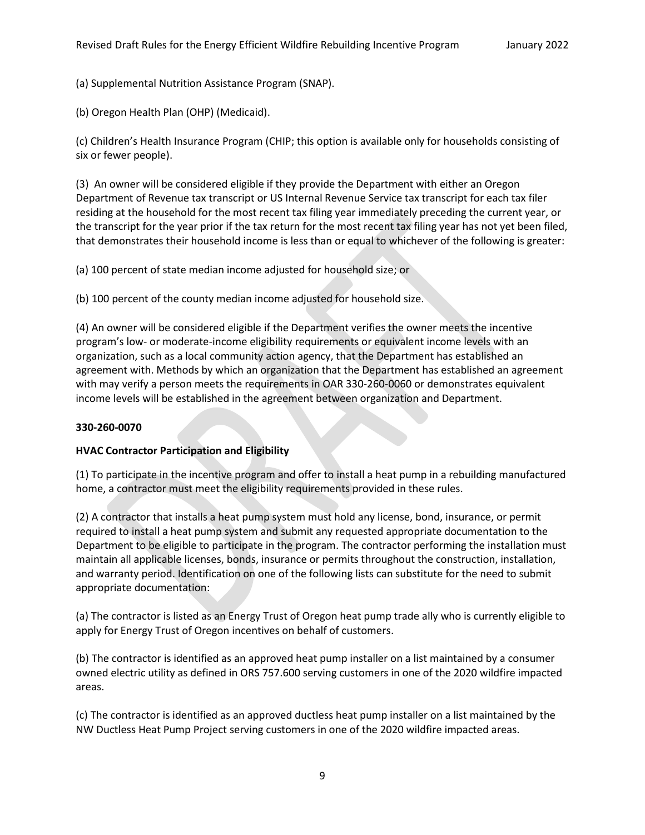(a) Supplemental Nutrition Assistance Program (SNAP).

(b) Oregon Health Plan (OHP) (Medicaid).

(c) Children's Health Insurance Program (CHIP; this option is available only for households consisting of six or fewer people).

(3) An owner will be considered eligible if they provide the Department with either an Oregon Department of Revenue tax transcript or US Internal Revenue Service tax transcript for each tax filer residing at the household for the most recent tax filing year immediately preceding the current year, or the transcript for the year prior if the tax return for the most recent tax filing year has not yet been filed, that demonstrates their household income is less than or equal to whichever of the following is greater:

(a) 100 percent of state median income adjusted for household size; or

(b) 100 percent of the county median income adjusted for household size.

(4) An owner will be considered eligible if the Department verifies the owner meets the incentive program's low- or moderate-income eligibility requirements or equivalent income levels with an organization, such as a local community action agency, that the Department has established an agreement with. Methods by which an organization that the Department has established an agreement with may verify a person meets the requirements in OAR 330-260-0060 or demonstrates equivalent income levels will be established in the agreement between organization and Department.

## **330-260-0070**

## **HVAC Contractor Participation and Eligibility**

(1) To participate in the incentive program and offer to install a heat pump in a rebuilding manufactured home, a contractor must meet the eligibility requirements provided in these rules.

(2) A contractor that installs a heat pump system must hold any license, bond, insurance, or permit required to install a heat pump system and submit any requested appropriate documentation to the Department to be eligible to participate in the program. The contractor performing the installation must maintain all applicable licenses, bonds, insurance or permits throughout the construction, installation, and warranty period. Identification on one of the following lists can substitute for the need to submit appropriate documentation:

(a) The contractor is listed as an Energy Trust of Oregon heat pump trade ally who is currently eligible to apply for Energy Trust of Oregon incentives on behalf of customers.

(b) The contractor is identified as an approved heat pump installer on a list maintained by a consumer owned electric utility as defined in ORS 757.600 serving customers in one of the 2020 wildfire impacted areas.

(c) The contractor is identified as an approved ductless heat pump installer on a list maintained by the NW Ductless Heat Pump Project serving customers in one of the 2020 wildfire impacted areas.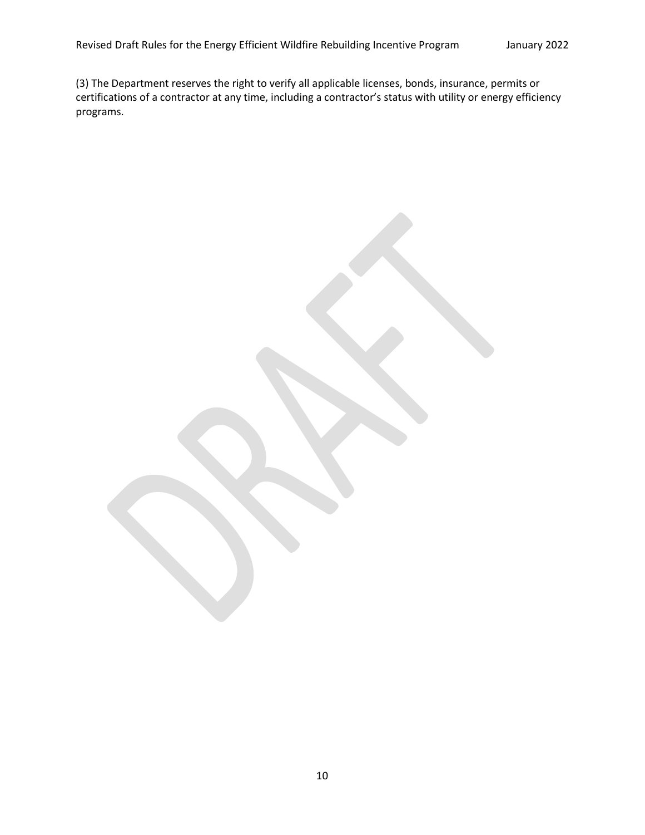(3) The Department reserves the right to verify all applicable licenses, bonds, insurance, permits or certifications of a contractor at any time, including a contractor's status with utility or energy efficiency programs.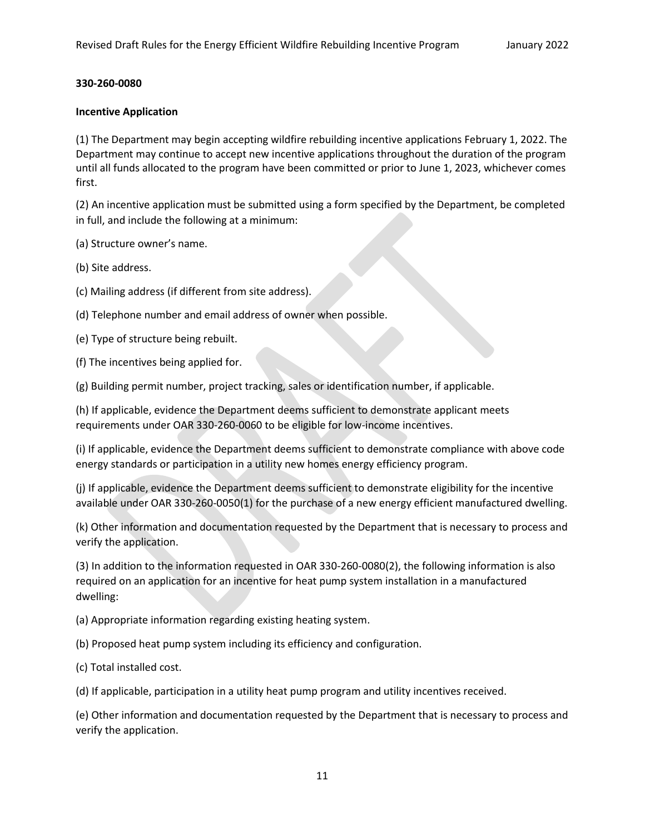#### **330-260-0080**

#### **Incentive Application**

(1) The Department may begin accepting wildfire rebuilding incentive applications February 1, 2022. The Department may continue to accept new incentive applications throughout the duration of the program until all funds allocated to the program have been committed or prior to June 1, 2023, whichever comes first.

(2) An incentive application must be submitted using a form specified by the Department, be completed in full, and include the following at a minimum:

(a) Structure owner's name.

(b) Site address.

(c) Mailing address (if different from site address).

(d) Telephone number and email address of owner when possible.

(e) Type of structure being rebuilt.

(f) The incentives being applied for.

(g) Building permit number, project tracking, sales or identification number, if applicable.

(h) If applicable, evidence the Department deems sufficient to demonstrate applicant meets requirements under OAR 330-260-0060 to be eligible for low-income incentives.

(i) If applicable, evidence the Department deems sufficient to demonstrate compliance with above code energy standards or participation in a utility new homes energy efficiency program.

(j) If applicable, evidence the Department deems sufficient to demonstrate eligibility for the incentive available under OAR 330-260-0050(1) for the purchase of a new energy efficient manufactured dwelling.

(k) Other information and documentation requested by the Department that is necessary to process and verify the application.

(3) In addition to the information requested in OAR 330-260-0080(2), the following information is also required on an application for an incentive for heat pump system installation in a manufactured dwelling:

(a) Appropriate information regarding existing heating system.

(b) Proposed heat pump system including its efficiency and configuration.

(c) Total installed cost.

(d) If applicable, participation in a utility heat pump program and utility incentives received.

(e) Other information and documentation requested by the Department that is necessary to process and verify the application.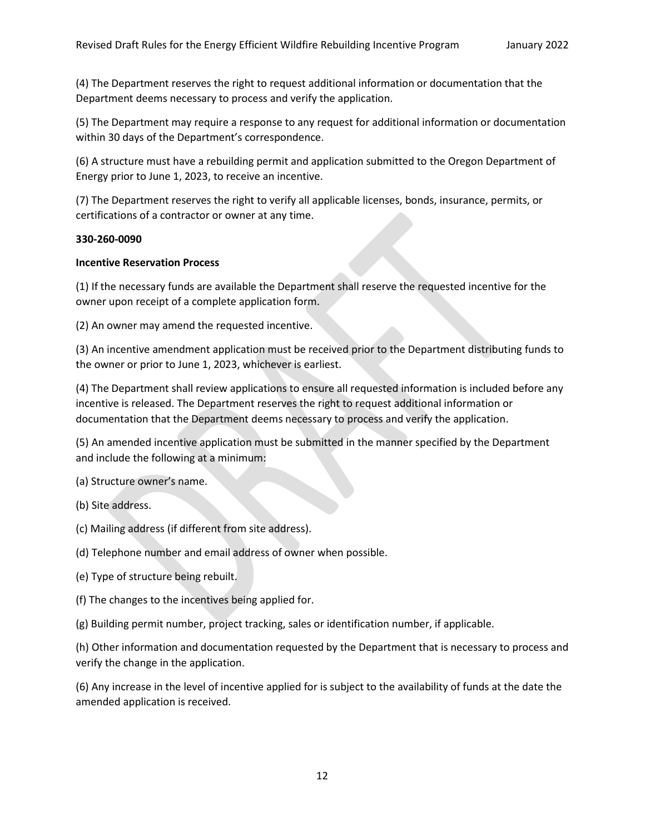(4) The Department reserves the right to request additional information or documentation that the Department deems necessary to process and verify the application.

(5) The Department may require a response to any request for additional information or documentation within 30 days of the Department's correspondence.

(6) A structure must have a rebuilding permit and application submitted to the Oregon Department of Energy prior to June 1, 2023, to receive an incentive.

(7) The Department reserves the right to verify all applicable licenses, bonds, insurance, permits, or certifications of a contractor or owner at any time.

#### **330-260-0090**

## **Incentive Reservation Process**

(1) If the necessary funds are available the Department shall reserve the requested incentive for the owner upon receipt of a complete application form.

(2) An owner may amend the requested incentive.

(3) An incentive amendment application must be received prior to the Department distributing funds to the owner or prior to June 1, 2023, whichever is earliest.

(4) The Department shall review applications to ensure all requested information is included before any incentive is released. The Department reserves the right to request additional information or documentation that the Department deems necessary to process and verify the application.

(5) An amended incentive application must be submitted in the manner specified by the Department and include the following at a minimum:

(a) Structure owner's name.

- (b) Site address.
- (c) Mailing address (if different from site address).
- (d) Telephone number and email address of owner when possible.
- (e) Type of structure being rebuilt.
- (f) The changes to the incentives being applied for.
- (g) Building permit number, project tracking, sales or identification number, if applicable.

(h) Other information and documentation requested by the Department that is necessary to process and verify the change in the application.

(6) Any increase in the level of incentive applied for is subject to the availability of funds at the date the amended application is received.